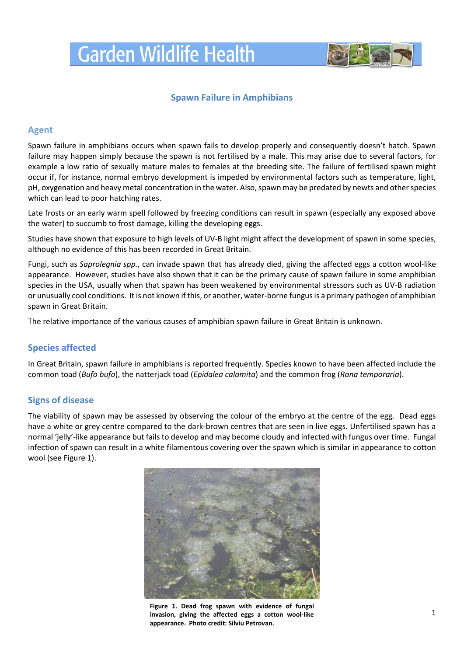

# **Spawn Failure in Amphibians**

### **Agent**

Spawn failure in amphibians occurs when spawn fails to develop properly and consequently doesn't hatch. Spawn failure may happen simply because the spawn is not fertilised by a male. This may arise due to several factors, for example a low ratio of sexually mature males to females at the breeding site. The failure of fertilised spawn might occur if, for instance, normal embryo development is impeded by environmental factors such as temperature, light, pH, oxygenation and heavy metal concentration in the water. Also, spawn may be predated by newts and other species which can lead to poor hatching rates.

Late frosts or an early warm spell followed by freezing conditions can result in spawn (especially any exposed above the water) to succumb to frost damage, killing the developing eggs.

Studies have shown that exposure to high levels of UV-B light might affect the development of spawn in some species, although no evidence of this has been recorded in Great Britain.

Fungi, such as *Saprolegnia spp.*, can invade spawn that has already died, giving the affected eggs a cotton wool-like appearance. However, studies have also shown that it can be the primary cause of spawn failure in some amphibian species in the USA, usually when that spawn has been weakened by environmental stressors such as UV-B radiation or unusually cool conditions. It is not known if this, or another, water-borne fungus is a primary pathogen of amphibian spawn in Great Britain.

The relative importance of the various causes of amphibian spawn failure in Great Britain is unknown.

# **Species affected**

In Great Britain, spawn failure in amphibians is reported frequently. Species known to have been affected include the common toad (*Bufo bufo*), the natterjack toad (*[Epidalea](http://www.herpetofauna.co.uk/natterjack_toad.htm) calamita*) and the common frog (*Rana temporaria*).

### **Signs of disease**

The viability of spawn may be assessed by observing the colour of the embryo at the centre of the egg. Dead eggs have a white or grey centre compared to the dark-brown centres that are seen in live eggs. Unfertilised spawn has a normal 'jelly'-like appearance but fails to develop and may become cloudy and infected with fungus over time. Fungal infection of spawn can result in a white filamentous covering over the spawn which is similar in appearance to cotton wool (see Figure 1).



**Figure 1. Dead frog spawn with evidence of fungal invasion, giving the affected eggs a cotton wool-like appearance. Photo credit: Silviu Petrovan.**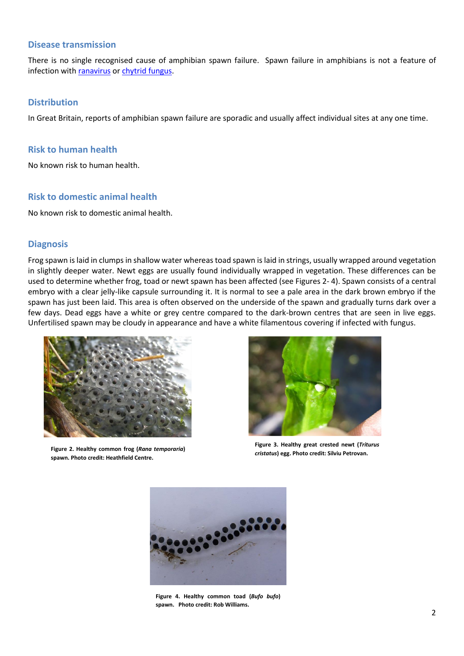#### **Disease transmission**

There is no single recognised cause of amphibian spawn failure. Spawn failure in amphibians is not a feature of infection wit[h ranavirus](http://www.gardenwildlifehealth.org/files/2013/06/Amphibian-Chytridiomycosis-factsheet_GWH.pdf) o[r chytrid fungus.](http://www.gardenwildlifehealth.org/files/2013/06/Amphibian-Ranavirus-disease-factsheet_GWH.pdf)

#### **Distribution**

In Great Britain, reports of amphibian spawn failure are sporadic and usually affect individual sites at any one time.

#### **Risk to human health**

No known risk to human health.

#### **Risk to domestic animal health**

No known risk to domestic animal health.

#### **Diagnosis**

Frog spawn is laid in clumps in shallow water whereas toad spawn is laid in strings, usually wrapped around vegetation in slightly deeper water. Newt eggs are usually found individually wrapped in vegetation. These differences can be used to determine whether frog, toad or newt spawn has been affected (see Figures 2- 4). Spawn consists of a central embryo with a clear jelly-like capsule surrounding it. It is normal to see a pale area in the dark brown embryo if the spawn has just been laid. This area is often observed on the underside of the spawn and gradually turns dark over a few days. Dead eggs have a white or grey centre compared to the dark-brown centres that are seen in live eggs. Unfertilised spawn may be cloudy in appearance and have a white filamentous covering if infected with fungus.



**Figure 2. Healthy common frog (***Rana temporaria***) spawn. Photo credit: Heathfield Centre.**



**Figure 3. Healthy great crested newt (***Triturus cristatus***) egg. Photo credit: Silviu Petrovan.**



**Figure 4. Healthy common toad (***Bufo bufo***) spawn. Photo credit: Rob Williams.**